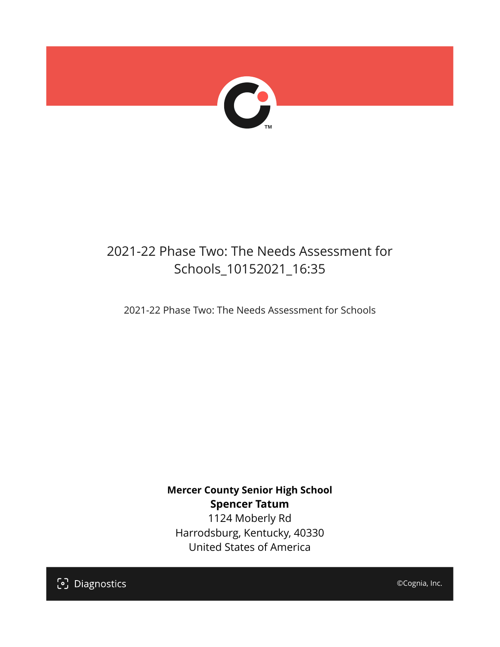

## 2021-22 Phase Two: The Needs Assessment for Schools\_10152021\_16:35

2021-22 Phase Two: The Needs Assessment for Schools

**Mercer County Senior High School Spencer Tatum** 1124 Moberly Rd Harrodsburg, Kentucky, 40330 United States of America

[၁] Diagnostics

©Cognia, Inc.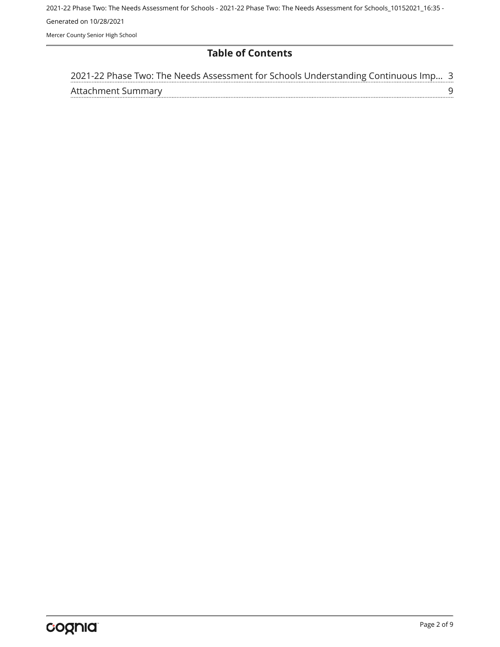2021-22 Phase Two: The Needs Assessment for Schools - 2021-22 Phase Two: The Needs Assessment for Schools\_10152021\_16:35 - Generated on 10/28/2021 Mercer County Senior High School

#### **Table of Contents**

| 2021-22 Phase Two: The Needs Assessment for Schools Understanding Continuous Imp 3 |  |
|------------------------------------------------------------------------------------|--|
| Attachment Summary                                                                 |  |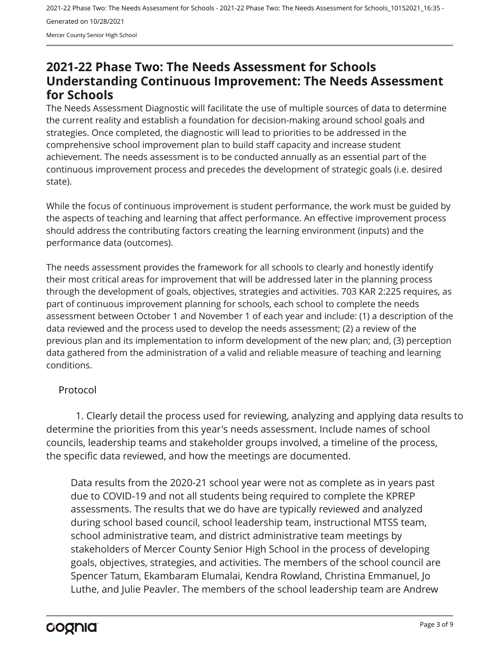Mercer County Senior High School

### <span id="page-2-0"></span>**2021-22 Phase Two: The Needs Assessment for Schools Understanding Continuous Improvement: The Needs Assessment for Schools**

The Needs Assessment Diagnostic will facilitate the use of multiple sources of data to determine the current reality and establish a foundation for decision-making around school goals and strategies. Once completed, the diagnostic will lead to priorities to be addressed in the comprehensive school improvement plan to build staff capacity and increase student achievement. The needs assessment is to be conducted annually as an essential part of the continuous improvement process and precedes the development of strategic goals (i.e. desired state).

While the focus of continuous improvement is student performance, the work must be guided by the aspects of teaching and learning that affect performance. An effective improvement process should address the contributing factors creating the learning environment (inputs) and the performance data (outcomes).

The needs assessment provides the framework for all schools to clearly and honestly identify their most critical areas for improvement that will be addressed later in the planning process through the development of goals, objectives, strategies and activities. 703 KAR 2:225 requires, as part of continuous improvement planning for schools, each school to complete the needs assessment between October 1 and November 1 of each year and include: (1) a description of the data reviewed and the process used to develop the needs assessment; (2) a review of the previous plan and its implementation to inform development of the new plan; and, (3) perception data gathered from the administration of a valid and reliable measure of teaching and learning conditions.

#### Protocol

1. Clearly detail the process used for reviewing, analyzing and applying data results to determine the priorities from this year's needs assessment. Include names of school councils, leadership teams and stakeholder groups involved, a timeline of the process, the specific data reviewed, and how the meetings are documented.

Data results from the 2020-21 school year were not as complete as in years past due to COVID-19 and not all students being required to complete the KPREP assessments. The results that we do have are typically reviewed and analyzed during school based council, school leadership team, instructional MTSS team, school administrative team, and district administrative team meetings by stakeholders of Mercer County Senior High School in the process of developing goals, objectives, strategies, and activities. The members of the school council are Spencer Tatum, Ekambaram Elumalai, Kendra Rowland, Christina Emmanuel, Jo Luthe, and Julie Peavler. The members of the school leadership team are Andrew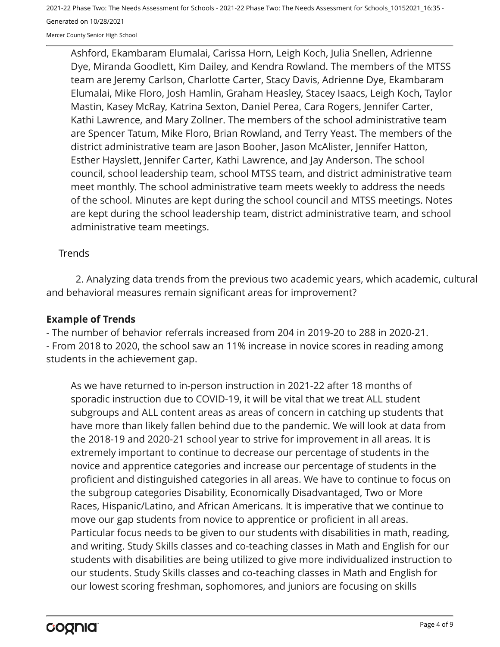Mercer County Senior High School

Ashford, Ekambaram Elumalai, Carissa Horn, Leigh Koch, Julia Snellen, Adrienne Dye, Miranda Goodlett, Kim Dailey, and Kendra Rowland. The members of the MTSS team are Jeremy Carlson, Charlotte Carter, Stacy Davis, Adrienne Dye, Ekambaram Elumalai, Mike Floro, Josh Hamlin, Graham Heasley, Stacey Isaacs, Leigh Koch, Taylor Mastin, Kasey McRay, Katrina Sexton, Daniel Perea, Cara Rogers, Jennifer Carter, Kathi Lawrence, and Mary Zollner. The members of the school administrative team are Spencer Tatum, Mike Floro, Brian Rowland, and Terry Yeast. The members of the district administrative team are Jason Booher, Jason McAlister, Jennifer Hatton, Esther Hayslett, Jennifer Carter, Kathi Lawrence, and Jay Anderson. The school council, school leadership team, school MTSS team, and district administrative team meet monthly. The school administrative team meets weekly to address the needs of the school. Minutes are kept during the school council and MTSS meetings. Notes are kept during the school leadership team, district administrative team, and school administrative team meetings.

#### **Trends**

2. Analyzing data trends from the previous two academic years, which academic, cultural and behavioral measures remain significant areas for improvement?

#### **Example of Trends**

- The number of behavior referrals increased from 204 in 2019-20 to 288 in 2020-21. - From 2018 to 2020, the school saw an 11% increase in novice scores in reading among students in the achievement gap.

As we have returned to in-person instruction in 2021-22 after 18 months of sporadic instruction due to COVID-19, it will be vital that we treat ALL student subgroups and ALL content areas as areas of concern in catching up students that have more than likely fallen behind due to the pandemic. We will look at data from the 2018-19 and 2020-21 school year to strive for improvement in all areas. It is extremely important to continue to decrease our percentage of students in the novice and apprentice categories and increase our percentage of students in the proficient and distinguished categories in all areas. We have to continue to focus on the subgroup categories Disability, Economically Disadvantaged, Two or More Races, Hispanic/Latino, and African Americans. It is imperative that we continue to move our gap students from novice to apprentice or proficient in all areas. Particular focus needs to be given to our students with disabilities in math, reading, and writing. Study Skills classes and co-teaching classes in Math and English for our students with disabilities are being utilized to give more individualized instruction to our students. Study Skills classes and co-teaching classes in Math and English for our lowest scoring freshman, sophomores, and juniors are focusing on skills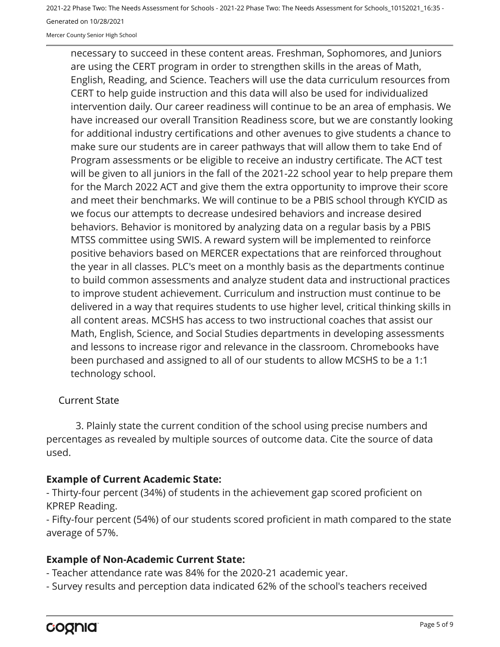Mercer County Senior High School

necessary to succeed in these content areas. Freshman, Sophomores, and Juniors are using the CERT program in order to strengthen skills in the areas of Math, English, Reading, and Science. Teachers will use the data curriculum resources from CERT to help guide instruction and this data will also be used for individualized intervention daily. Our career readiness will continue to be an area of emphasis. We have increased our overall Transition Readiness score, but we are constantly looking for additional industry certifications and other avenues to give students a chance to make sure our students are in career pathways that will allow them to take End of Program assessments or be eligible to receive an industry certificate. The ACT test will be given to all juniors in the fall of the 2021-22 school year to help prepare them for the March 2022 ACT and give them the extra opportunity to improve their score and meet their benchmarks. We will continue to be a PBIS school through KYCID as we focus our attempts to decrease undesired behaviors and increase desired behaviors. Behavior is monitored by analyzing data on a regular basis by a PBIS MTSS committee using SWIS. A reward system will be implemented to reinforce positive behaviors based on MERCER expectations that are reinforced throughout the year in all classes. PLC's meet on a monthly basis as the departments continue to build common assessments and analyze student data and instructional practices to improve student achievement. Curriculum and instruction must continue to be delivered in a way that requires students to use higher level, critical thinking skills in all content areas. MCSHS has access to two instructional coaches that assist our Math, English, Science, and Social Studies departments in developing assessments and lessons to increase rigor and relevance in the classroom. Chromebooks have been purchased and assigned to all of our students to allow MCSHS to be a 1:1 technology school.

#### Current State

3. Plainly state the current condition of the school using precise numbers and percentages as revealed by multiple sources of outcome data. Cite the source of data used.

#### **Example of Current Academic State:**

- Thirty-four percent (34%) of students in the achievement gap scored proficient on KPREP Reading.

- Fifty-four percent (54%) of our students scored proficient in math compared to the state average of 57%.

#### **Example of Non-Academic Current State:**

- Teacher attendance rate was 84% for the 2020-21 academic year.

- Survey results and perception data indicated 62% of the school's teachers received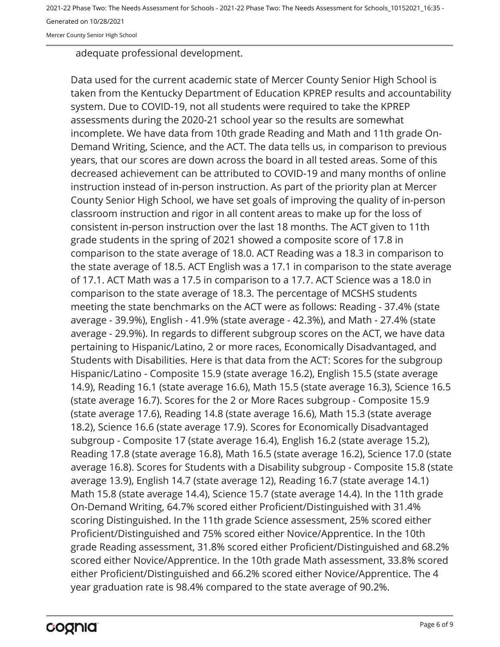Mercer County Senior High School

adequate professional development.

Data used for the current academic state of Mercer County Senior High School is taken from the Kentucky Department of Education KPREP results and accountability system. Due to COVID-19, not all students were required to take the KPREP assessments during the 2020-21 school year so the results are somewhat incomplete. We have data from 10th grade Reading and Math and 11th grade On-Demand Writing, Science, and the ACT. The data tells us, in comparison to previous years, that our scores are down across the board in all tested areas. Some of this decreased achievement can be attributed to COVID-19 and many months of online instruction instead of in-person instruction. As part of the priority plan at Mercer County Senior High School, we have set goals of improving the quality of in-person classroom instruction and rigor in all content areas to make up for the loss of consistent in-person instruction over the last 18 months. The ACT given to 11th grade students in the spring of 2021 showed a composite score of 17.8 in comparison to the state average of 18.0. ACT Reading was a 18.3 in comparison to the state average of 18.5. ACT English was a 17.1 in comparison to the state average of 17.1. ACT Math was a 17.5 in comparison to a 17.7. ACT Science was a 18.0 in comparison to the state average of 18.3. The percentage of MCSHS students meeting the state benchmarks on the ACT were as follows: Reading - 37.4% (state average - 39.9%), English - 41.9% (state average - 42.3%), and Math - 27.4% (state average - 29.9%). In regards to different subgroup scores on the ACT, we have data pertaining to Hispanic/Latino, 2 or more races, Economically Disadvantaged, and Students with Disabilities. Here is that data from the ACT: Scores for the subgroup Hispanic/Latino - Composite 15.9 (state average 16.2), English 15.5 (state average 14.9), Reading 16.1 (state average 16.6), Math 15.5 (state average 16.3), Science 16.5 (state average 16.7). Scores for the 2 or More Races subgroup - Composite 15.9 (state average 17.6), Reading 14.8 (state average 16.6), Math 15.3 (state average 18.2), Science 16.6 (state average 17.9). Scores for Economically Disadvantaged subgroup - Composite 17 (state average 16.4), English 16.2 (state average 15.2), Reading 17.8 (state average 16.8), Math 16.5 (state average 16.2), Science 17.0 (state average 16.8). Scores for Students with a Disability subgroup - Composite 15.8 (state average 13.9), English 14.7 (state average 12), Reading 16.7 (state average 14.1) Math 15.8 (state average 14.4), Science 15.7 (state average 14.4). In the 11th grade On-Demand Writing, 64.7% scored either Proficient/Distinguished with 31.4% scoring Distinguished. In the 11th grade Science assessment, 25% scored either Proficient/Distinguished and 75% scored either Novice/Apprentice. In the 10th grade Reading assessment, 31.8% scored either Proficient/Distinguished and 68.2% scored either Novice/Apprentice. In the 10th grade Math assessment, 33.8% scored either Proficient/Distinguished and 66.2% scored either Novice/Apprentice. The 4 year graduation rate is 98.4% compared to the state average of 90.2%.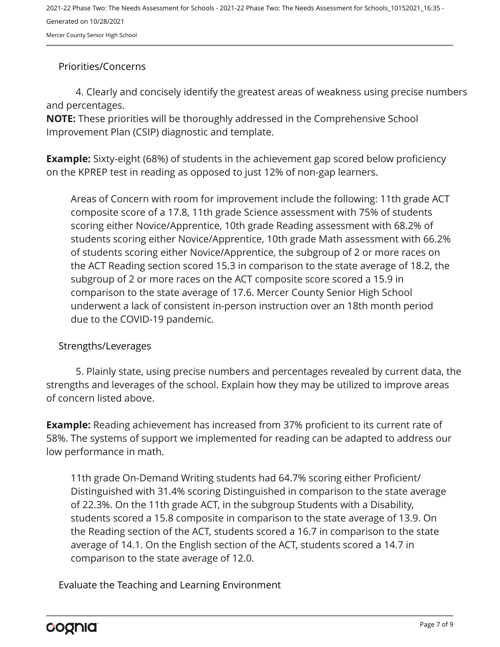Mercer County Senior High School

#### Priorities/Concerns

4. Clearly and concisely identify the greatest areas of weakness using precise numbers and percentages.

**NOTE:** These priorities will be thoroughly addressed in the Comprehensive School Improvement Plan (CSIP) diagnostic and template.

**Example:** Sixty-eight (68%) of students in the achievement gap scored below proficiency on the KPREP test in reading as opposed to just 12% of non-gap learners.

Areas of Concern with room for improvement include the following: 11th grade ACT composite score of a 17.8, 11th grade Science assessment with 75% of students scoring either Novice/Apprentice, 10th grade Reading assessment with 68.2% of students scoring either Novice/Apprentice, 10th grade Math assessment with 66.2% of students scoring either Novice/Apprentice, the subgroup of 2 or more races on the ACT Reading section scored 15.3 in comparison to the state average of 18.2, the subgroup of 2 or more races on the ACT composite score scored a 15.9 in comparison to the state average of 17.6. Mercer County Senior High School underwent a lack of consistent in-person instruction over an 18th month period due to the COVID-19 pandemic.

#### Strengths/Leverages

5. Plainly state, using precise numbers and percentages revealed by current data, the strengths and leverages of the school. Explain how they may be utilized to improve areas of concern listed above.

**Example:** Reading achievement has increased from 37% proficient to its current rate of 58%. The systems of support we implemented for reading can be adapted to address our low performance in math.

11th grade On-Demand Writing students had 64.7% scoring either Proficient/ Distinguished with 31.4% scoring Distinguished in comparison to the state average of 22.3%. On the 11th grade ACT, in the subgroup Students with a Disability, students scored a 15.8 composite in comparison to the state average of 13.9. On the Reading section of the ACT, students scored a 16.7 in comparison to the state average of 14.1. On the English section of the ACT, students scored a 14.7 in comparison to the state average of 12.0.

Evaluate the Teaching and Learning Environment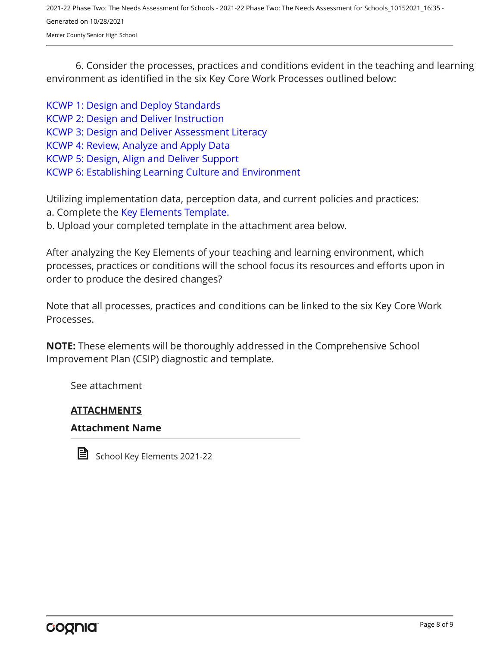Mercer County Senior High School

6. Consider the processes, practices and conditions evident in the teaching and learning environment as identified in the six Key Core Work Processes outlined below:

[KCWP 1: Design and Deploy Standards](https://education.ky.gov/school/csip/Documents/KCWP%201%20Strategic%20Design%20and%20Deploy%20Standards.pdf) [KCWP 2: Design and Deliver Instruction](https://education.ky.gov/school/csip/Documents/KCWP%202%20Strategic%20Design%20and%20Deliver%20Instruction.pdf) [KCWP 3: Design and Deliver Assessment Literacy](https://education.ky.gov/school/csip/Documents/KCWP%203%20Strategic%20Design%20and%20Deliver%20Assessment%20Literacy.pdf) [KCWP 4: Review, Analyze and Apply Data](https://education.ky.gov/school/csip/Documents/KCWP%204%20Strategic%20Review%20Analyze%20and%20Apply%20Data.pdf) [KCWP 5: Design, Align and Deliver Support](https://education.ky.gov/school/csip/Documents/KCWP%205%20Strategic%20Design%20Align%20Deliver%20Support%20Processes.pdf) [KCWP 6: Establishing Learning Culture and Environment](https://education.ky.gov/school/csip/Documents/KCWP%206%20Strategic%20Establish%20Learning%20Culture%20and%20Environment.pdf)

Utilizing implementation data, perception data, and current policies and practices: a. Complete the [Key Elements Template.](https://education.ky.gov/school/csip/Documents/School%20Key%20Elements%20Template.docx)

b. Upload your completed template in the attachment area below.

After analyzing the Key Elements of your teaching and learning environment, which processes, practices or conditions will the school focus its resources and efforts upon in order to produce the desired changes?

Note that all processes, practices and conditions can be linked to the six Key Core Work Processes.

**NOTE:** These elements will be thoroughly addressed in the Comprehensive School Improvement Plan (CSIP) diagnostic and template.

See attachment

#### **ATTACHMENTS**

#### **Attachment Name**



School Key Elements 2021-22